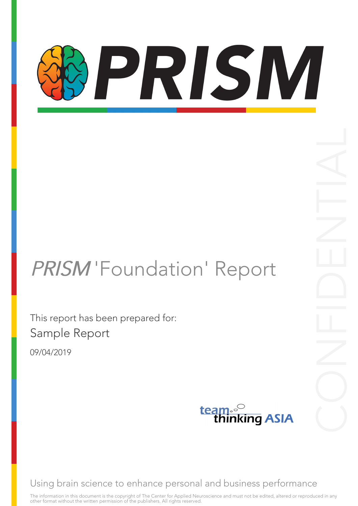# PRISM

# PRISM 'Foundation' Report

This report has been prepared for: Sample Report

09/04/2019



Using brain science to enhance personal and business performance

The information in this document is the copyright of The Center for Applied Neuroscience and must not be edited, altered or reproduced in any other format without the written permission of the publishers. All rights reserved.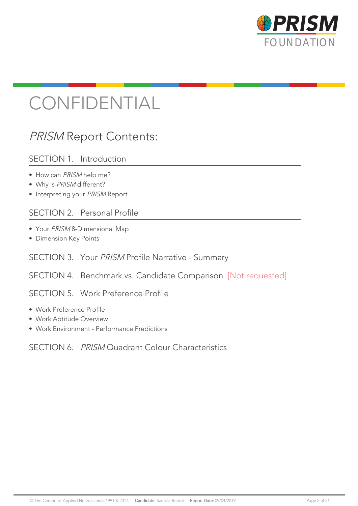

# CONFIDENTIAL

# PRISM Report Contents:

# SECTION 1. Introduction

- How can PRISM help me?
- Why is PRISM different?
- Interpreting your PRISM Report

# SECTION 2. Personal Profile

- Your PRISM 8-Dimensional Map
- Dimension Key Points

# SECTION 3. Your PRISM Profile Narrative - Summary

# SECTION 4. Benchmark vs. Candidate Comparison [Not requested]

# SECTION 5. Work Preference Profile

- Work Preference Profile
- Work Aptitude Overview
- Work Environment Performance Predictions

# SECTION 6. PRISM Quadrant Colour Characteristics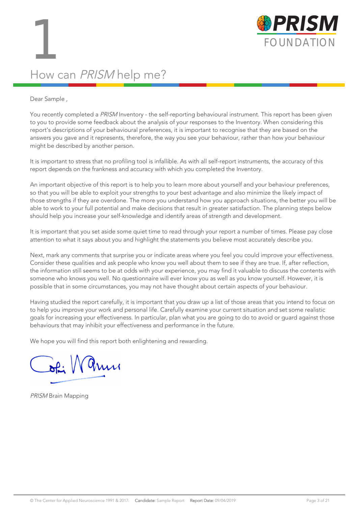

# How can PRISM help me?

### Dear Sample ,

You recently completed a PRISM Inventory - the self-reporting behavioural instrument. This report has been given to you to provide some feedback about the analysis of your responses to the Inventory. When considering this report's descriptions of your behavioural preferences, it is important to recognise that they are based on the answers you gave and it represents, therefore, the way you see your behaviour, rather than how your behaviour might be described by another person.

It is important to stress that no profiling tool is infallible. As with all self-report instruments, the accuracy of this report depends on the frankness and accuracy with which you completed the Inventory.

An important objective of this report is to help you to learn more about yourself and your behaviour preferences, so that you will be able to exploit your strengths to your best advantage and also minimize the likely impact of those strengths if they are overdone. The more you understand how you approach situations, the better you will be able to work to your full potential and make decisions that result in greater satisfaction. The planning steps below should help you increase your self-knowledge and identify areas of strength and development.

It is important that you set aside some quiet time to read through your report a number of times. Please pay close attention to what it says about you and highlight the statements you believe most accurately describe you.

Next, mark any comments that surprise you or indicate areas where you feel you could improve your effectiveness. Consider these qualities and ask people who know you well about them to see if they are true. If, after reflection, the information still seems to be at odds with your experience, you may find it valuable to discuss the contents with someone who knows you well. No questionnaire will ever know you as well as you know yourself. However, it is possible that in some circumstances, you may not have thought about certain aspects of your behaviour.

Having studied the report carefully, it is important that you draw up a list of those areas that you intend to focus on to help you improve your work and personal life. Carefully examine your current situation and set some realistic goals for increasing your effectiveness. In particular, plan what you are going to do to avoid or guard against those behaviours that may inhibit your effectiveness and performance in the future.

We hope you will find this report both enlightening and rewarding.

 $\sqrt{a}$ 

PRISM Brain Mapping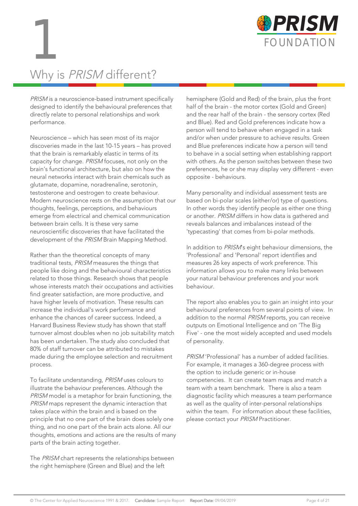

# Why is PRISM different?

PRISM is a neuroscience-based instrument specifically designed to identify the behavioural preferences that directly relate to personal relationships and work performance.

Neuroscience – which has seen most of its major discoveries made in the last 10-15 years – has proved that the brain is remarkably elastic in terms of its capacity for change. PRISM focuses, not only on the brain's functional architecture, but also on how the neural networks interact with brain chemicals such as glutamate, dopamine, noradrenaline, serotonin, testosterone and oestrogen to create behaviour. Modern neuroscience rests on the assumption that our thoughts, feelings, perceptions, and behaviours emerge from electrical and chemical communication between brain cells. It is these very same neuroscientific discoveries that have facilitated the development of the PRISM Brain Mapping Method.

Rather than the theoretical concepts of many traditional tests, PRISM measures the things that people like doing and the behavioural characteristics related to those things. Research shows that people whose interests match their occupations and activities find greater satisfaction, are more productive, and have higher levels of motivation. These results can increase the individual's work performance and enhance the chances of career success. Indeed, a Harvard Business Review study has shown that staff turnover almost doubles when no job suitability match has been undertaken. The study also concluded that 80% of staff turnover can be attributed to mistakes made during the employee selection and recruitment process.

To facilitate understanding, PRISM uses colours to illustrate the behaviour preferences. Although the PRISM model is a metaphor for brain functioning, the PRISM maps represent the dynamic interaction that takes place within the brain and is based on the principle that no one part of the brain does solely one thing, and no one part of the brain acts alone. All our thoughts, emotions and actions are the results of many parts of the brain acting together.

The PRISM chart represents the relationships between the right hemisphere (Green and Blue) and the left

hemisphere (Gold and Red) of the brain, plus the front half of the brain - the motor cortex (Gold and Green) and the rear half of the brain - the sensory cortex (Red and Blue). Red and Gold preferences indicate how a person will tend to behave when engaged in a task and/or when under pressure to achieve results. Green and Blue preferences indicate how a person will tend to behave in a social setting when establishing rapport with others. As the person switches between these two preferences, he or she may display very different - even opposite - behaviours.

Many personality and individual assessment tests are based on bi-polar scales (either/or) type of questions. In other words they identify people as either one thing or another. PRISM differs in how data is gathered and reveals balances and imbalances instead of the 'typecasting' that comes from bi-polar methods.

In addition to PRISM's eight behaviour dimensions, the 'Professional' and 'Personal' report identifies and measures 26 key aspects of work preference. This information allows you to make many links between your natural behaviour preferences and your work behaviour.

The report also enables you to gain an insight into your behavioural preferences from several points of view. In addition to the normal PRISM reports, you can receive outputs on Emotional Intelligence and on 'The Big Five' - one the most widely accepted and used models of personality.

PRISM 'Professional' has a number of added facilities. For example, it manages a 360-degree process with the option to include generic or in-house competencies. It can create team maps and match a team with a team benchmark. There is also a team diagnostic facility which measures a team performance as well as the quality of inter-personal relationships within the team. For information about these facilities, please contact your PRISM Practitioner.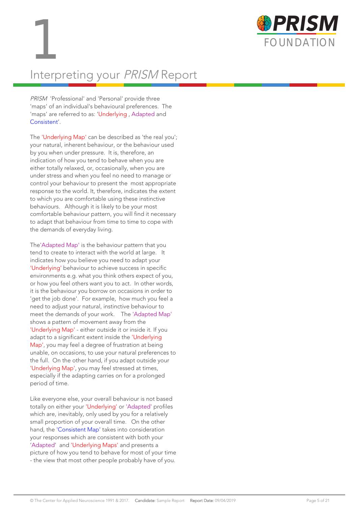



# Interpreting your PRISM Report

PRISM 'Professional' and 'Personal' provide three 'maps' of an individual's behavioural preferences. The 'maps' are referred to as: 'Underlying , Adapted and Consistent'.

The 'Underlying Map' can be described as 'the real you'; your natural, inherent behaviour, or the behaviour used by you when under pressure. It is, therefore, an indication of how you tend to behave when you are either totally relaxed, or, occasionally, when you are under stress and when you feel no need to manage or control your behaviour to present the most appropriate response to the world. It, therefore, indicates the extent to which you are comfortable using these instinctive behaviours. Although it is likely to be your most comfortable behaviour pattern, you will find it necessary to adapt that behaviour from time to time to cope with the demands of everyday living.

The'Adapted Map' is the behaviour pattern that you tend to create to interact with the world at large. It indicates how you believe you need to adapt your 'Underlying' behaviour to achieve success in specific environments e.g. what you think others expect of you, or how you feel others want you to act. In other words, it is the behaviour you borrow on occasions in order to 'get the job done'. For example, how much you feel a need to adjust your natural, instinctive behaviour to meet the demands of your work. The 'Adapted Map' shows a pattern of movement away from the 'Underlying Map' - either outside it or inside it. If you adapt to a significant extent inside the 'Underlying Map', you may feel a degree of frustration at being unable, on occasions, to use your natural preferences to the full. On the other hand, if you adapt outside your 'Underlying Map', you may feel stressed at times, especially if the adapting carries on for a prolonged period of time.

Like everyone else, your overall behaviour is not based totally on either your 'Underlying' or 'Adapted' profiles which are, inevitably, only used by you for a relatively small proportion of your overall time. On the other hand, the 'Consistent Map' takes into consideration your responses which are consistent with both your 'Adapted' and 'Underlying Maps' and presents a picture of how you tend to behave for most of your time - the view that most other people probably have of you.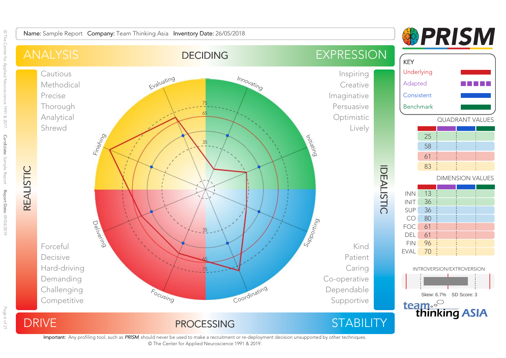

Important: Any profiling tool, such as PRISM, should never be used to make a recruitment or re-deployment decision unsupported by other techniques. © The Center for Applied Neuroscience 1991 & 2019.

© The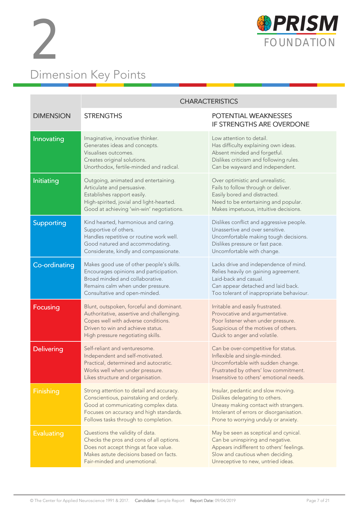



|                   | <b>CHARACTERISTICS</b>                                                                                                                                                                                        |                                                                                                                                                                                                   |  |
|-------------------|---------------------------------------------------------------------------------------------------------------------------------------------------------------------------------------------------------------|---------------------------------------------------------------------------------------------------------------------------------------------------------------------------------------------------|--|
| <b>DIMENSION</b>  | <b>STRENGTHS</b>                                                                                                                                                                                              | POTENTIAL WEAKNESSES<br>IF STRENGTHS ARE OVERDONE                                                                                                                                                 |  |
| Innovating        | Imaginative, innovative thinker.<br>Generates ideas and concepts.<br>Visualises outcomes.<br>Creates original solutions.<br>Unorthodox, fertile-minded and radical.                                           | Low attention to detail.<br>Has difficulty explaining own ideas.<br>Absent minded and forgetful.<br>Dislikes criticism and following rules.<br>Can be wayward and independent.                    |  |
| Initiating        | Outgoing, animated and entertaining.<br>Articulate and persuasive.<br>Establishes rapport easily.<br>High-spirited, jovial and light-hearted.<br>Good at achieving 'win-win' negotiations.                    | Over optimistic and unrealistic.<br>Fails to follow through or deliver.<br>Easily bored and distracted.<br>Need to be entertaining and popular.<br>Makes impetuous, intuitive decisions.          |  |
| Supporting        | Kind hearted, harmonious and caring.<br>Supportive of others.<br>Handles repetitive or routine work well.<br>Good natured and accommodating.<br>Considerate, kindly and compassionate.                        | Dislikes conflict and aggressive people.<br>Unassertive and over sensitive.<br>Uncomfortable making tough decisions.<br>Dislikes pressure or fast pace.<br>Uncomfortable with change.             |  |
| Co-ordinating     | Makes good use of other people's skills.<br>Encourages opinions and participation.<br>Broad minded and collaborative.<br>Remains calm when under pressure.<br>Consultative and open-minded.                   | Lacks drive and independence of mind.<br>Relies heavily on gaining agreement.<br>Laid-back and casual.<br>Can appear detached and laid back.<br>Too tolerant of inappropriate behaviour.          |  |
| <b>Focusing</b>   | Blunt, outspoken, forceful and dominant.<br>Authoritative, assertive and challenging.<br>Copes well with adverse conditions.<br>Driven to win and achieve status.<br>High pressure negotiating skills.        | Irritable and easily frustrated.<br>Provocative and argumentative.<br>Poor listener when under pressure.<br>Suspicious of the motives of others.<br>Quick to anger and volatile.                  |  |
| <b>Delivering</b> | Self-reliant and venturesome.<br>Independent and self-motivated.<br>Practical, determined and autocratic.<br>Works well when under pressure.<br>Likes structure and organisation.                             | Can be over-competitive for status.<br>Inflexible and single-minded.<br>Uncomfortable with sudden change.<br>Frustrated by others' low commitment.<br>Insensitive to others' emotional needs.     |  |
| Finishing         | Strong attention to detail and accuracy.<br>Conscientious, painstaking and orderly.<br>Good at communicating complex data.<br>Focuses on accuracy and high standards.<br>Follows tasks through to completion. | Insular, pedantic and slow moving.<br>Dislikes delegating to others.<br>Uneasy making contact with strangers.<br>Intolerant of errors or disorganisation.<br>Prone to worrying unduly or anxiety. |  |
| <b>Evaluating</b> | Questions the validity of data.<br>Checks the pros and cons of all options.<br>Does not accept things at face value.<br>Makes astute decisions based on facts.<br>Fair-minded and unemotional.                | May be seen as sceptical and cynical.<br>Can be uninspiring and negative.<br>Appears indifferent to others' feelings.<br>Slow and cautious when deciding.<br>Unreceptive to new, untried ideas.   |  |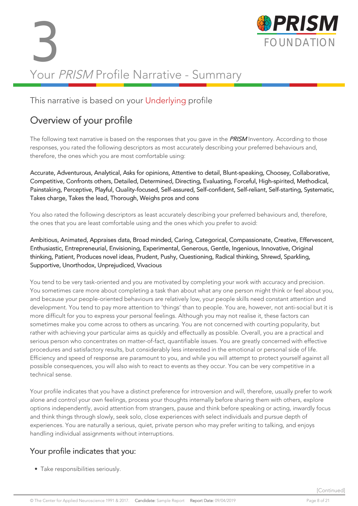# 3 FOUNDATION Your PRISM Profile Narrative - Summary



# This narrative is based on your Underlying profile

# Overview of your profile

The following text narrative is based on the responses that you gave in the **PRISM** Inventory. According to those responses, you rated the following descriptors as most accurately describing your preferred behaviours and, therefore, the ones which you are most comfortable using:

Accurate, Adventurous, Analytical, Asks for opinions, Attentive to detail, Blunt-speaking, Choosey, Collaborative, Competitive, Confronts others, Detailed, Determined, Directing, Evaluating, Forceful, High-spirited, Methodical, Painstaking, Perceptive, Playful, Quality-focused, Self-assured, Self-confident, Self-reliant, Self-starting, Systematic, Takes charge, Takes the lead, Thorough, Weighs pros and cons

You also rated the following descriptors as least accurately describing your preferred behaviours and, therefore, the ones that you are least comfortable using and the ones which you prefer to avoid:

Ambitious, Animated, Appraises data, Broad minded, Caring, Categorical, Compassionate, Creative, Effervescent, Enthusiastic, Entrepreneurial, Envisioning, Experimental, Generous, Gentle, Ingenious, Innovative, Original thinking, Patient, Produces novel ideas, Prudent, Pushy, Questioning, Radical thinking, Shrewd, Sparkling, Supportive, Unorthodox, Unprejudiced, Vivacious

You tend to be very task-oriented and you are motivated by completing your work with accuracy and precision. You sometimes care more about completing a task than about what any one person might think or feel about you, and because your people-oriented behaviours are relatively low, your people skills need constant attention and development. You tend to pay more attention to 'things' than to people. You are, however, not anti-social but it is more difficult for you to express your personal feelings. Although you may not realise it, these factors can sometimes make you come across to others as uncaring. You are not concerned with courting popularity, but rather with achieving your particular aims as quickly and effectually as possible. Overall, you are a practical and serious person who concentrates on matter-of-fact, quantifiable issues. You are greatly concerned with effective procedures and satisfactory results, but considerably less interested in the emotional or personal side of life. Efficiency and speed of response are paramount to you, and while you will attempt to protect yourself against all possible consequences, you will also wish to react to events as they occur. You can be very competitive in a technical sense.

Your profile indicates that you have a distinct preference for introversion and will, therefore, usually prefer to work alone and control your own feelings, process your thoughts internally before sharing them with others, explore options independently, avoid attention from strangers, pause and think before speaking or acting, inwardly focus and think things through slowly, seek solo, close experiences with select individuals and pursue depth of experiences. You are naturally a serious, quiet, private person who may prefer writing to talking, and enjoys handling individual assignments without interruptions.

# Your profile indicates that you:

• Take responsibilities seriously.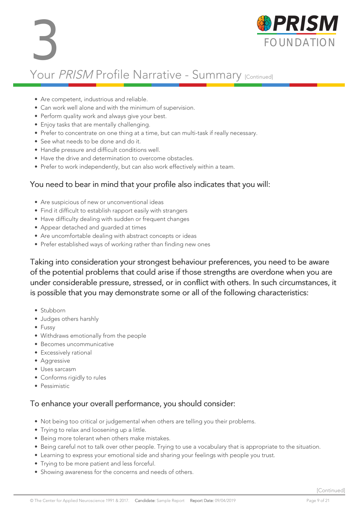

# Your PRISM Profile Narrative - Summary [Continued]

- Are competent, industrious and reliable.
- Can work well alone and with the minimum of supervision.
- Perform quality work and always give your best.
- Enjoy tasks that are mentally challenging.
- Prefer to concentrate on one thing at a time, but can multi-task if really necessary.
- See what needs to be done and do it.
- Handle pressure and difficult conditions well.
- Have the drive and determination to overcome obstacles.
- Prefer to work independently, but can also work effectively within a team.

# You need to bear in mind that your profile also indicates that you will:

- Are suspicious of new or unconventional ideas
- Find it difficult to establish rapport easily with strangers
- Have difficulty dealing with sudden or frequent changes
- Appear detached and guarded at times
- Are uncomfortable dealing with abstract concepts or ideas
- Prefer established ways of working rather than finding new ones

Taking into consideration your strongest behaviour preferences, you need to be aware of the potential problems that could arise if those strengths are overdone when you are under considerable pressure, stressed, or in conflict with others. In such circumstances, it is possible that you may demonstrate some or all of the following characteristics:

- Stubborn
- Judges others harshly
- Fussy
- Withdraws emotionally from the people
- Becomes uncommunicative
- Excessively rational
- Aggressive
- Uses sarcasm
- Conforms rigidly to rules
- Pessimistic

# To enhance your overall performance, you should consider:

- Not being too critical or judgemental when others are telling you their problems.
- Trying to relax and loosening up a little.
- Being more tolerant when others make mistakes.
- Being careful not to talk over other people. Trying to use a vocabulary that is appropriate to the situation.
- Learning to express your emotional side and sharing your feelings with people you trust.
- Trying to be more patient and less forceful.
- Showing awareness for the concerns and needs of others.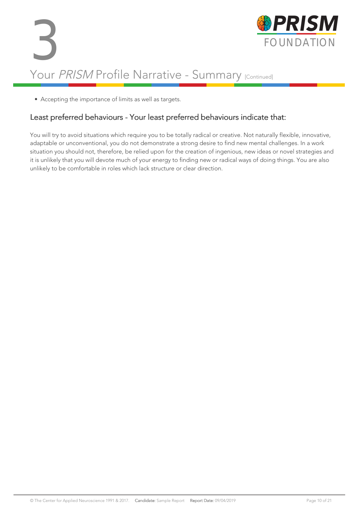# 3 FOUNDATION Your PRISM Profile Narrative - Summary [Continued]



• Accepting the importance of limits as well as targets.

# Least preferred behaviours - Your least preferred behaviours indicate that:

You will try to avoid situations which require you to be totally radical or creative. Not naturally flexible, innovative, adaptable or unconventional, you do not demonstrate a strong desire to find new mental challenges. In a work situation you should not, therefore, be relied upon for the creation of ingenious, new ideas or novel strategies and it is unlikely that you will devote much of your energy to finding new or radical ways of doing things. You are also unlikely to be comfortable in roles which lack structure or clear direction.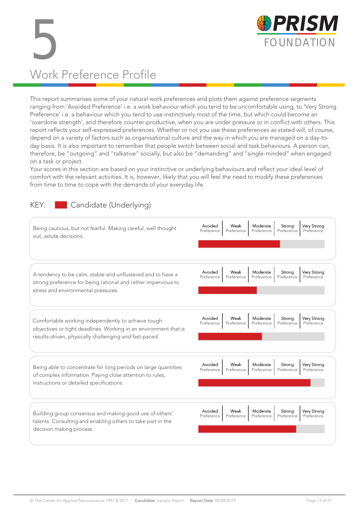

# 5 FOUNDATION Work Preference Profile

This report summarises some of your natural work preferences and plots them against preference segments ranging from 'Avoided Preference' i.e. a work behaviour which you tend to be uncomfortable using, to 'Very Strong Preference' i.e. a behaviour which you tend to use instinctively most of the time, but which could become an 'overdone strength', and therefore counter-productive, when you are under pressure or in conflict with others. This report reflects your self-expressed preferences. Whether or not you use these preferences as stated will, of course, depend on a variety of factors such as organisational culture and the way in which you are managed on a day-today basis. It is also important to remember that people switch between social and task behaviours. A person can, therefore, be "outgoing" and "talkative" socially, but also be "demanding" and "single-minded" when engaged on a task or project.

Your scores in this section are based on your instinctive or underlying behaviours and reflect your ideal level of comfort with the relevant activities. It is, however, likely that you will feel the need to modify these preferences from time to time to cope with the demands of your everyday life.

# KEY: Candidate (Underlying)

| Being cautious, but not fearful. Making careful, well thought<br>out, astute decisions.                                                                                          | Avoided<br>Very Strong<br>Weak<br>Moderate<br>Strona<br>Preference<br>Preference<br>Preference<br>Preference<br>Preference |
|----------------------------------------------------------------------------------------------------------------------------------------------------------------------------------|----------------------------------------------------------------------------------------------------------------------------|
| A tendency to be calm, stable and unflustered and to have a<br>strong preference for being rational and rather impervious to<br>stress and environmental pressures.              | Avoided<br>Weak<br>Very Strong<br>Moderate<br>Strona<br>Preference<br>Preference<br>Preference<br>Preference<br>Preference |
| Comfortable working independently to achieve tough<br>objectives or tight deadlines. Working in an environment that is<br>results-driven, physically challenging and fast-paced. | Avoided<br>Weak<br>Very Strong<br>Moderate<br>Strong<br>Preference<br>Preference<br>Preference<br>Preference<br>Preference |
| Being able to concentrate for long periods on large quantities<br>of complex information. Paying close attention to rules,<br>instructions or detailed specifications.           | Very Strong<br>Avoided<br>Weak<br>Moderate<br>Strong<br>Preference<br>Preference<br>Preference<br>Preference<br>Preference |
| Building group consensus and making good use of others'<br>talents. Consulting and enabling others to take part in the<br>decision making process.                               | Avoided<br>Weak<br>Moderate<br>Very Strong<br>Strona<br>Preference<br>Preference<br>Preference<br>Preference<br>Preference |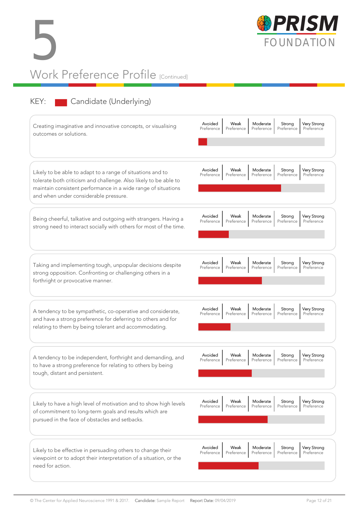



# KEY: Candidate (Underlying)

| Creating imaginative and innovative concepts, or visualising<br>outcomes or solutions.                                                                                                                                                   | Avoided<br><b>Very Strong</b><br>Weak<br>Moderate<br>Strong<br>Preference<br>Preference<br>Preference<br>Preference<br>Preference |
|------------------------------------------------------------------------------------------------------------------------------------------------------------------------------------------------------------------------------------------|-----------------------------------------------------------------------------------------------------------------------------------|
| Likely to be able to adapt to a range of situations and to<br>tolerate both criticism and challenge. Also likely to be able to<br>maintain consistent performance in a wide range of situations<br>and when under considerable pressure. | Avoided<br>Weak<br>Moderate<br>Very Strong<br>Strong<br>Preference<br>Preference<br>Preference<br>Preference<br>Preference        |
| Being cheerful, talkative and outgoing with strangers. Having a<br>strong need to interact socially with others for most of the time.                                                                                                    | Avoided<br>Weak<br>Moderate<br>Strong<br><b>Very Strong</b><br>Preference<br>Preference<br>Preference<br>Preference<br>Preference |
| Taking and implementing tough, unpopular decisions despite<br>strong opposition. Confronting or challenging others in a<br>forthright or provocative manner.                                                                             | Avoided<br>Weak<br>Moderate<br><b>Very Strong</b><br>Strong<br>Preference<br>Preference<br>Preference<br>Preference<br>Preference |
| A tendency to be sympathetic, co-operative and considerate,<br>and have a strong preference for deferring to others and for<br>relating to them by being tolerant and accommodating.                                                     | Avoided<br>Moderate<br>Very Strong<br>Weak<br>Strong<br>Preference<br>Preference<br>Preference<br>Preference<br>Preference        |
| A tendency to be independent, forthright and demanding, and<br>to have a strong preference for relating to others by being<br>tough, distant and persistent.                                                                             | Avoided<br><b>Very Strong</b><br>Weak<br>Moderate<br>Strong<br>Preference<br>Preference<br>Preference<br>Preference<br>Preference |
| Likely to have a high level of motivation and to show high levels<br>of commitment to long-term goals and results which are<br>pursued in the face of obstacles and setbacks.                                                            | Avoided<br>Moderate<br>Very Strong<br>Weak<br>Strong<br>Preference<br>Preference<br>Preference<br>Preference<br>Preference        |
| Likely to be effective in persuading others to change their<br>viewpoint or to adopt their interpretation of a situation, or the<br>need for action.                                                                                     | Avoided<br>Moderate<br>Weak<br>Strong<br>Very Strong<br>Preference<br>Preference<br>Preference<br>Preference<br>Preference        |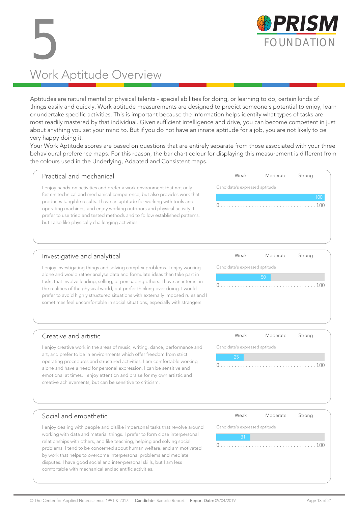

# 5 Work Aptitude Overview

Aptitudes are natural mental or physical talents - special abilities for doing, or learning to do, certain kinds of things easily and quickly. Work aptitude measurements are designed to predict someone's potential to enjoy, learn or undertake specific activities. This is important because the information helps identify what types of tasks are most readily mastered by that individual. Given sufficient intelligence and drive, you can become competent in just about anything you set your mind to. But if you do not have an innate aptitude for a job, you are not likely to be very happy doing it.

Your Work Aptitude scores are based on questions that are entirely separate from those associated with your three behavioural preference maps. For this reason, the bar chart colour for displaying this measurement is different from the colours used in the Underlying, Adapted and Consistent maps.

| Practical and mechanical                                                                                                                                                                                                                                                                                                                                            | Weak                           | Moderate | Strong     |
|---------------------------------------------------------------------------------------------------------------------------------------------------------------------------------------------------------------------------------------------------------------------------------------------------------------------------------------------------------------------|--------------------------------|----------|------------|
| enjoy hands-on activities and prefer a work environment that not only                                                                                                                                                                                                                                                                                               | Candidate's expressed aptitude |          |            |
| fosters technical and mechanical competence, but also provides work that<br>produces tangible results. I have an aptitude for working with tools and<br>operating machines, and enjoy working outdoors and physical activity. I<br>prefer to use tried and tested methods and to follow established patterns,<br>but I also like physically challenging activities. |                                |          | 100<br>100 |
| Investigative and analytical                                                                                                                                                                                                                                                                                                                                        | Weak                           | Moderate | Strona     |

# Investigative and analytical

I enjoy investigating things and solving complex problems. I enjoy working alone and would rather analyse data and formulate ideas than take part in tasks that involve leading, selling, or persuading others. I have an interest in the realities of the physical world, but prefer thinking over doing. I would prefer to avoid highly structured situations with externally imposed rules and I sometimes feel uncomfortable in social situations, especially with strangers.

| Weak                           |    | Moderate   Strong |  |  |
|--------------------------------|----|-------------------|--|--|
| Candidate's expressed aptitude |    |                   |  |  |
|                                | 50 |                   |  |  |
|                                |    |                   |  |  |
|                                |    |                   |  |  |
|                                |    |                   |  |  |

# Creative and artistic

I enjoy creative work in the areas of music, writing, dance, performance and art, and prefer to be in environments which offer freedom from strict operating procedures and structured activities. I am comfortable working alone and have a need for personal expression. I can be sensitive and emotional at times. I enjoy attention and praise for my own artistic and creative achievements, but can be sensitive to criticism.

| Weak                           | Moderate Strong |     |
|--------------------------------|-----------------|-----|
| Candidate's expressed aptitude |                 |     |
| 25                             |                 |     |
|                                |                 | 100 |

# Social and empathetic

I enjoy dealing with people and dislike impersonal tasks that revolve around working with data and material things. I prefer to form close interpersonal relationships with others, and like teaching, helping and solving social problems. I tend to be concerned about human welfare, and am motivated by work that helps to overcome interpersonal problems and mediate disputes. I have good social and inter-personal skills, but I am less comfortable with mechanical and scientific activities.

| Weak                           | Moderate Strong |
|--------------------------------|-----------------|
| Candidate's expressed aptitude |                 |
|                                |                 |
|                                | (1)(1)          |
|                                |                 |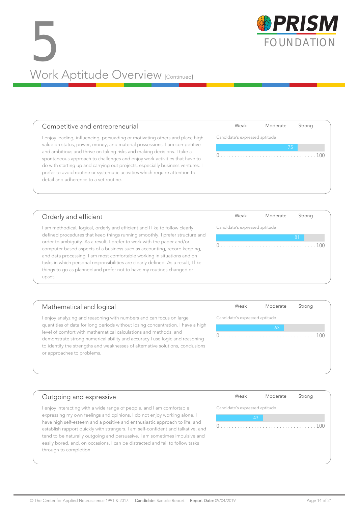# SPRISM Work Aptitude Overview [Continued]

# Competitive and entrepreneurial

I enjoy leading, influencing, persuading or motivating others and place high value on status, power, money, and material possessions. I am competitive and ambitious and thrive on taking risks and making decisions. I take a spontaneous approach to challenges and enjoy work activities that have to do with starting up and carrying out projects, especially business ventures. I prefer to avoid routine or systematic activities which require attention to detail and adherence to a set routine.

# Orderly and efficient

I am methodical, logical, orderly and efficient and I like to follow clearly defined procedures that keep things running smoothly. I prefer structure and order to ambiguity. As a result, I prefer to work with the paper and/or computer based aspects of a business such as accounting, record keeping, and data processing. I am most comfortable working in situations and on tasks in which personal responsibilities are clearly defined. As a result, I like things to go as planned and prefer not to have my routines changed or upset.

# Mathematical and logical Candidate's expressed aptitude

I enjoy analyzing and reasoning with numbers and can focus on large quantities of data for long periods without losing concentration. I have a high level of comfort with mathematical calculations and methods, and demonstrate strong numerical ability and accuracy.I use logic and reasoning to identify the strengths and weaknesses of alternative solutions, conclusions or approaches to problems.

# Outgoing and expressive I enjoy interacting with a wide range of people, and I am comfortable expressing my own feelings and opinions. I do not enjoy working alone. I

have high self-esteem and a positive and enthusiastic approach to life, and establish rapport quickly with strangers. I am self-confident and talkative, and tend to be naturally outgoing and persuasive. I am sometimes impulsive and easily bored, and, on occasions, I can be distracted and fail to follow tasks through to completion.

# Candidate's expressed aptitude

0 . . . . . . . . . . . . . . . . . . . . . . . . . . . . . . . . . . 100



Weak | Moderate | Strong

0 . . . . . . . . . . . . . . . . . . . . . . . . . . . . . . . . . . 100

Weak | Moderate | Strong



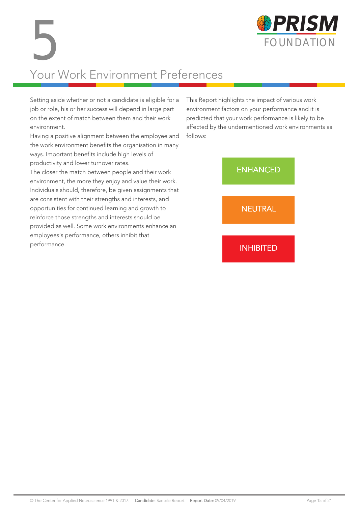

# Your Work Environment Preferences 5

Setting aside whether or not a candidate is eligible for a job or role, his or her success will depend in large part on the extent of match between them and their work environment.

Having a positive alignment between the employee and the work environment benefits the organisation in many ways. Important benefits include high levels of productivity and lower turnover rates.

The closer the match between people and their work environment, the more they enjoy and value their work. Individuals should, therefore, be given assignments that are consistent with their strengths and interests, and opportunities for continued learning and growth to reinforce those strengths and interests should be provided as well. Some work environments enhance an employees's performance, others inhibit that performance.

This Report highlights the impact of various work environment factors on your performance and it is predicted that your work performance is likely to be affected by the undermentioned work environments as follows:

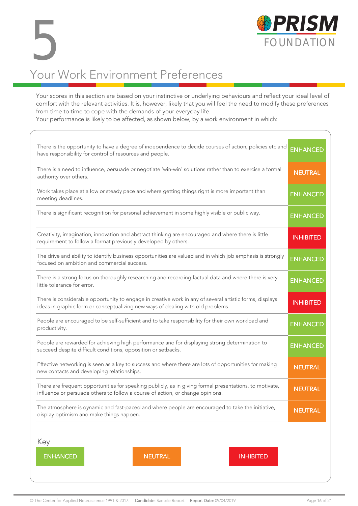

# Your Work Environment Preferences 5

Your scores in this section are based on your instinctive or underlying behaviours and reflect your ideal level of comfort with the relevant activities. It is, however, likely that you will feel the need to modify these preferences from time to time to cope with the demands of your everyday life.

Your performance is likely to be affected, as shown below, by a work environment in which:

| There is the opportunity to have a degree of independence to decide courses of action, policies etc and<br>have responsibility for control of resources and people.                        | <b>ENHANCED</b>  |  |
|--------------------------------------------------------------------------------------------------------------------------------------------------------------------------------------------|------------------|--|
| There is a need to influence, persuade or negotiate 'win-win' solutions rather than to exercise a formal<br>authority over others.                                                         | <b>NEUTRAL</b>   |  |
| Work takes place at a low or steady pace and where getting things right is more important than<br>meeting deadlines.                                                                       | <b>ENHANCED</b>  |  |
| There is significant recognition for personal achievement in some highly visible or public way.                                                                                            | <b>ENHANCED</b>  |  |
| Creativity, imagination, innovation and abstract thinking are encouraged and where there is little<br>requirement to follow a format previously developed by others.                       | <b>INHIBITED</b> |  |
| The drive and ability to identify business opportunities are valued and in which job emphasis is strongly<br>focused on ambition and commercial success.                                   | <b>ENHANCED</b>  |  |
| There is a strong focus on thoroughly researching and recording factual data and where there is very<br>little tolerance for error.                                                        | <b>ENHANCED</b>  |  |
| There is considerable opportunity to engage in creative work in any of several artistic forms, displays<br>ideas in graphic form or conceptualizing new ways of dealing with old problems. |                  |  |
| People are encouraged to be self-sufficient and to take responsibility for their own workload and<br>productivity.                                                                         | <b>ENHANCED</b>  |  |
| People are rewarded for achieving high performance and for displaying strong determination to<br>succeed despite difficult conditions, opposition or setbacks.                             | <b>ENHANCED</b>  |  |
| Effective networking is seen as a key to success and where there are lots of opportunities for making<br>new contacts and developing relationships.                                        |                  |  |
| There are frequent opportunities for speaking publicly, as in giving formal presentations, to motivate,<br>influence or persuade others to follow a course of action, or change opinions.  |                  |  |
| The atmosphere is dynamic and fast-paced and where people are encouraged to take the initiative,<br>display optimism and make things happen.                                               | <b>NEUTRAL</b>   |  |
| Key<br><b>ENHANCED</b><br><b>NEUTRAL</b><br><b>INHIBITED</b>                                                                                                                               |                  |  |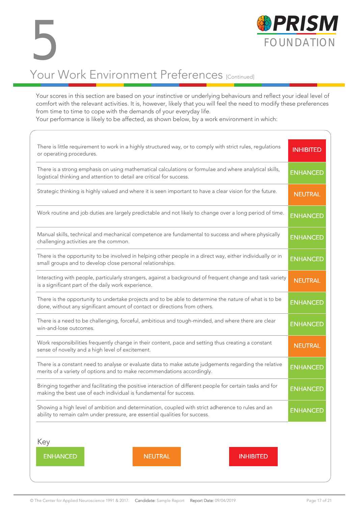

Your scores in this section are based on your instinctive or underlying behaviours and reflect your ideal level of comfort with the relevant activities. It is, however, likely that you will feel the need to modify these preferences from time to time to cope with the demands of your everyday life.

Your performance is likely to be affected, as shown below, by a work environment in which:

| There is little requirement to work in a highly structured way, or to comply with strict rules, regulations<br>or operating procedures.                                              | <b>INHIBITED</b> |  |
|--------------------------------------------------------------------------------------------------------------------------------------------------------------------------------------|------------------|--|
| There is a strong emphasis on using mathematical calculations or formulae and where analytical skills,<br>logistical thinking and attention to detail are critical for success.      | <b>ENHANCED</b>  |  |
| Strategic thinking is highly valued and where it is seen important to have a clear vision for the future.                                                                            | <b>NEUTRAL</b>   |  |
| Work routine and job duties are largely predictable and not likely to change over a long period of time.                                                                             | <b>ENHANCED</b>  |  |
| Manual skills, technical and mechanical competence are fundamental to success and where physically<br>challenging activities are the common.                                         | <b>ENHANCED</b>  |  |
| There is the opportunity to be involved in helping other people in a direct way, either individually or in<br>small groups and to develop close personal relationships.              | <b>ENHANCED</b>  |  |
| Interacting with people, particularly strangers, against a background of frequent change and task variety<br>is a significant part of the daily work experience.                     | <b>NEUTRAL</b>   |  |
| There is the opportunity to undertake projects and to be able to determine the nature of what is to be<br>done, without any significant amount of contact or directions from others. |                  |  |
| There is a need to be challenging, forceful, ambitious and tough-minded, and where there are clear<br>win-and-lose outcomes.                                                         |                  |  |
| Work responsibilities frequently change in their content, pace and setting thus creating a constant<br>sense of novelty and a high level of excitement.                              |                  |  |
| There is a constant need to analyse or evaluate data to make astute judgements regarding the relative<br>merits of a variety of options and to make recommendations accordingly.     |                  |  |
| Bringing together and facilitating the positive interaction of different people for certain tasks and for<br>making the best use of each individual is fundamental for success.      |                  |  |
| Showing a high level of ambition and determination, coupled with strict adherence to rules and an<br>ability to remain calm under pressure, are essential qualities for success.     | <b>ENHANCED</b>  |  |
| Key                                                                                                                                                                                  |                  |  |
| <b>ENHANCED</b><br><b>NEUTRAL</b><br><b>INHIBITED</b>                                                                                                                                |                  |  |

FOUNDATION

**BPRISM**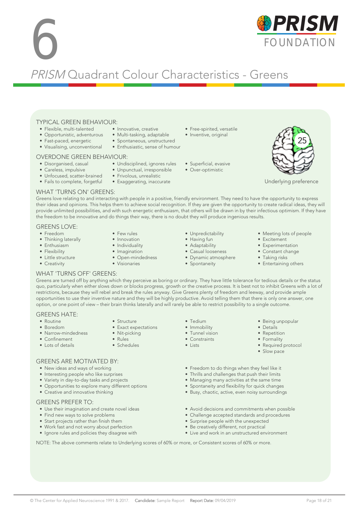# © The Center for Applied Neuroscience 1991 & 2017. Candidate: Sample Report Report Date: 09/04/2019 Page 18 of 21

#### TYPICAL GREEN BEHAVIOUR: • Innovative, creative

- Flexible, multi-talented • Opportunistic, adventurous
- 
- Fast-paced, energetic • Visualising, unconventional

# OVERDONE GREEN BEHAVIOUR:

- Disorganised, casual
- Careless, impulsive
- Unfocused, scatter-brained • Fails to complete, forgetful
- 

### WHAT 'TURNS ON' GREENS:

Greens love relating to and interacting with people in a positive, friendly environment. They need to have the opportunity to express their ideas and opinions. This helps them to achieve social recognition. If they are given the opportunity to create radical ideas, they will provide unlimited possibilities, and with such energetic enthusiasm, that others will be drawn in by their infectious optimism. If they have the freedom to be innovative and do things their way, there is no doubt they will produce ingenious results.

#### GREENS LOVE:

- Freedom
- Thinking laterally
- Enthusiasm
- Flexibility
- Little structure
- Creativity
- Few rules • Innovation • Individuality
- Imagination
- Open-mindedness
- Visionaries
- 
- -
- Having fun • Adaptability

• Unpredictability

- Casual looseness
- Dynamic atmosphere
- Spontaneity
- Meeting lots of people
- Excitement
- Experimentation • Constant change
- Taking risks
- Entertaining others

• Being unpopular • Details • Repetition • Formality • Required protocol • Slow pace

#### WHAT 'TURNS OFF' GREENS:

GREENS ARE MOTIVATED BY: • New ideas and ways of working • Interesting people who like surprises • Variety in day-to-day tasks and projects • Opportunities to explore many different options

• Creative and innovative thinking

• Find new ways to solve problems • Start projects rather than finish them • Work fast and not worry about perfection • Ignore rules and policies they disagree with

• Use their imagination and create novel ideas

GREENS PREFER TO:

Greens are turned off by anything which they perceive as boring or ordinary. They have little tolerance for tedious details or the status quo, particularly when either slows down or blocks progress, growth or the creative process. It is best not to inhibit Greens with a lot of restrictions, because they will rebel and break the rules anyway. Give Greens plenty of freedom and leeway, and provide ample opportunities to use their inventive nature and they will be highly productive. Avoid telling them that there is only one answer, one option, or one point of view – their brain thinks laterally and will rarely be able to restrict possibility to a single outcome.

### GREENS HATE:

- Routine • Boredom
- Narrow-mindedness
- Confinement
- Lots of details
- 
- Nit-picking
- 
- 

• Tedium • Immobility • Tunnel vision • Constraints • Lists

- Freedom to do things when they feel like it
- Thrills and challenges that push their limits • Managing many activities at the same time
- Spontaneity and flexibility for quick changes
- Busy, chaotic, active, even noisy surroundings
- Avoid decisions and commitments when possible
- Challenge accepted standards and procedures
- Surprise people with the unexpected
- Be creatively different, not practical
- Live and work in an unstructured environment

NOTE: The above comments relate to Underlying scores of 60% or more, or Consistent scores of 60% or more.

• Exaggerating, inaccurate



• Unpunctual, irresponsible • Frivolous, unrealistic

• Undisciplined, ignores rules

• Multi-tasking, adaptable

PRISM Quadrant Colour Characteristics - Greens

- Free-spirited, versatile • Inventive, original
- Spontaneous, unstructured • Enthusiastic, sense of humour
	- Superficial, evasive
	- Over-optimistic



25

- 
- Structure
- Exact expectations
- - -
- -
	-
	- Rules
	- Schedules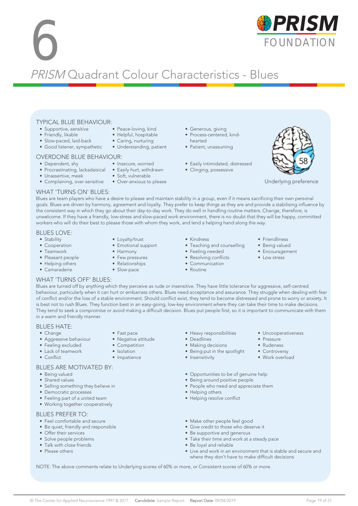# **6 FOUNDATION** PRISM Quadrant Colour Characteristics - Blues

#### TYPICAL BLUE BEHAVIOUR: • Peace-loving, kind

- Supportive, sensitive
- Friendly, likable
- Slow-paced, laid-back
- Good listener, sympathetic
- 

# OVERDONE BLUE BEHAVIOUR:

- Dependent, shy
- Procrastinating, lackadaisical Easily hurt, withdrawn
- Unassertive, meek
- Complaining, over-sensitive Over-anxious to please
- Generous, giving
- Process-centered, kindhearted
- Patient, unassuming
- Easily intimidated, distressed
- Clinging, possessive



Underlying preference

### WHAT 'TURNS ON' BLUES:

Blues are team players who have a desire to please and maintain stability in a group, even if it means sacrificing their own personal goals. Blues are driven by harmony, agreement and loyalty. They prefer to keep things as they are and provide a stabilising influence by the consistent way in which they go about their day-to-day work. They do well in handling routine matters. Change, therefore, is unwelcome. If they have a friendly, low-stress and slow-paced work environment, there is no doubt that they will be happy, committed workers who will do their best to please those with whom they work, and lend a helping hand along the way.

### BLUES LOVE:

- Stability
- Cooperation
- Teamwork
- Pleasant people
- Helping others • Camaraderie
- Loyalty/trust
- Emotional support

• Helpful, hospitable • Caring, nurturing • Understanding, patient

• Insecure, worried

• Soft, vulnerable

- 
- 
- -
- Kindness
- Teaching and counselling
- Feeling needed
- Resolving conflicts
- Communication
- Routine
- Friendliness
- Being valued
	- Encouragement

• Uncooperativeness

• Pressure • Rudeness • Controversy • Work overload

• Low stress

#### WHAT 'TURNS OFF' BLUES:

Blues are turned off by anything which they perceive as rude or insensitive. They have little tolerance for aggressive, self-centred behaviour, particularly when it can hurt or embarrass others. Blues need acceptance and assurance. They struggle when dealing with fear of conflict and/or the loss of a stable environment. Should conflict exist, they tend to become distressed and prone to worry or anxiety. It is best not to rush Blues. They function best in an easy-going, low-key environment where they can take their time to make decisions. They tend to seek a compromise or avoid making a difficult decision. Blues put people first, so it is important to communicate with them in a warm and friendly manner.

### BLUES HATE:

- Change
- Aggressive behaviour
- Feeling excluded
- Lack of teamwork
- Conflict

### BLUES ARE MOTIVATED BY:

- Being valued
- Shared values
- Selling something they believe in
- Democratic processes
- Feeling part of a united team
- Working together cooperatively

#### BLUES PREFER TO:

- Feel comfortable and secure
- Be quiet, friendly and responsible
- Offer their services
- Solve people problems
- Talk with close friends
- Please others
- Heavy responsibilities • Deadlines
- 
- Making decisions • Being put in the spotlight
- Insensitivity
	-
- Opportunities to be of genuine help
- Being around positive people
- People who need and appreciate them
- Helping others
- Helping resolve conflict
- Make other people feel good
- Give credit to those who deserve it
- Be supportive and generous
- Take their time and work at a steady pace
- Be loyal and reliable
- Live and work in an environment that is stable and secure and where they don't have to make difficult decisions

NOTE: The above comments relate to Underlying scores of 60% or more, or Consistent scores of 60% or more.



### • Harmony • Few pressures

- Relationships
- Slow pace

• Fast pace • Negative attitude • Competition • Isolation • Impatience

- 
-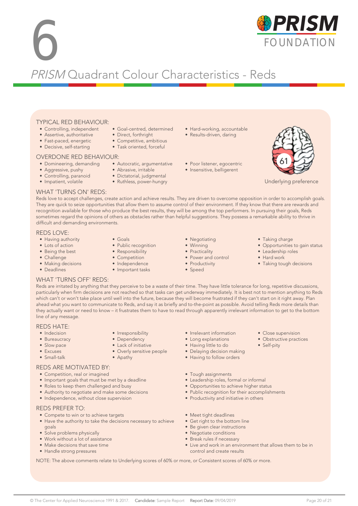# **6 FOUNDATION** PRISM Quadrant Colour Characteristics - Reds

### TYPICAL RED BEHAVIOUR:

- Controlling, independent
- Assertive, authoritative
- Fast-paced, energetic
- Decisive, self-starting

#### OVERDONE RED BEHAVIOUR:

- 
- Aggressive, pushy
- Controlling, paranoid
- Impatient, volatile
- Task oriented, forceful

• Goal-centred, determined • Direct, forthright • Competitive, ambitious

- Domineering, demanding Autocratic, argumentative
	- Abrasive, irritable
	- Dictatorial, judgmental
	- Ruthless, power-hungry
- Hard-working, accountable
- Results-driven, daring
- Poor listener, egocentric
- Insensitive, belligerent



Underlying preference

### WHAT 'TURNS ON' REDS:

Reds love to accept challenges, create action and achieve results. They are driven to overcome opposition in order to accomplish goals. They are quick to seize opportunities that allow them to assume control of their environment. If they know that there are rewards and recognition available for those who produce the best results, they will be among the top performers. In pursuing their goals, Reds sometimes regard the opinions of others as obstacles rather than helpful suggestions. They possess a remarkable ability to thrive in difficult and demanding environments.

#### REDS LOVE:

- Having authority
- Lots of action
- Being the best
- Challenge
- Making decisions
- Deadlines
- Goals
- Public recognition
- Responsibility
- Competition
- Independence

• Irresponsibility • Dependency • Lack of initiative • Overly sensitive people

• Apathy

- Important tasks
- Negotiating • Winning
- 
- Practicality
- Power and control
- Productivity
- Speed
- Taking charge
- Opportunities to gain status
- Leadership roles
- Hard work
- Taking tough decisions

• Close supervision • Obstructive practices

• Self-pity

#### WHAT 'TURNS OFF' REDS:

Reds are irritated by anything that they perceive to be a waste of their time. They have little tolerance for long, repetitive discussions, particularly when firm decisions are not reached so that tasks can get underway immediately. It is best not to mention anything to Reds which can't or won't take place until well into the future, because they will become frustrated if they can't start on it right away. Plan ahead what you want to communicate to Reds, and say it as briefly and to-the-point as possible. Avoid telling Reds more details than they actually want or need to know – it frustrates them to have to read through apparently irrelevant information to get to the bottom line of any message.

### REDS HATE:

- Indecision
- Bureaucracy
- Slow pace
- Excuses
- Small-talk

#### REDS ARE MOTIVATED BY:

- Competition, real or imagined
- Important goals that must be met by a deadline
- Roles to keep them challenged and busy
- Authority to negotiate and make some decisions
- Independence, without close supervision

#### REDS PREFER TO:

- Compete to win or to achieve targets
- Have the authority to take the decisions necessary to achieve goals
- Solve problems physically
- Work without a lot of assistance
- Make decisions that save time
- Handle strong pressures
- Irrelevant information
- Long explanations
- Having little to do
- Delaying decision making
- Having to follow orders
- Tough assignments
- Leadership roles, formal or informal
- Opportunities to achieve higher status
- Public recognition for their accomplishments
- Productivity and initiative in others
- Meet tight deadlines
- Get right to the bottom line
- Be given clear instructions
- Negotiate conditions
- Break rules if necessary • Live and work in an environment that allows them to be in control and create results

NOTE: The above comments relate to Underlying scores of 60% or more, or Consistent scores of 60% or more.